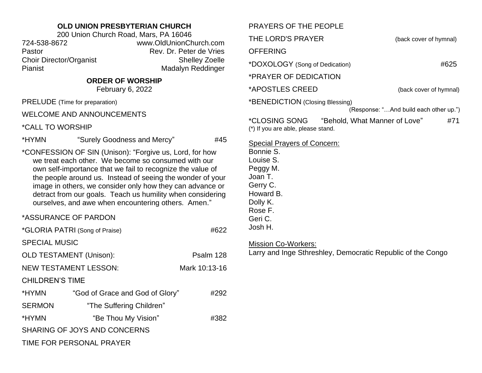## **OLD UNION PRESBYTERIAN CHURCH**

200 Union Church Road, Mars, PA 16046 724-538-8672 www.OldUnionChurch.com Pastor **Pastor** Rev. Dr. Peter de Vries Choir Director/Organist Shelley Zoelle Pianist Madalyn Reddinger

## **ORDER OF WORSHIP**

February 6, 2022

PRELUDE (Time for preparation)

WELCOME AND ANNOUNCEMENTS

\*CALL TO WORSHIP

\*HYMN "Surely Goodness and Mercy" #45

\*CONFESSION OF SIN (Unison): "Forgive us, Lord, for how we treat each other. We become so consumed with our own self-importance that we fail to recognize the value of the people around us. Instead of seeing the wonder of your image in others, we consider only how they can advance or detract from our goals. Teach us humility when considering ourselves, and awe when encountering others. Amen."

## \*ASSURANCE OF PARDON

|                                | *GLORIA PATRI (Song of Praise)  | #622          |  |
|--------------------------------|---------------------------------|---------------|--|
| <b>SPECIAL MUSIC</b>           |                                 |               |  |
| <b>OLD TESTAMENT (Unison):</b> |                                 | Psalm 128     |  |
| <b>NEW TESTAMENT LESSON:</b>   |                                 | Mark 10:13-16 |  |
| <b>CHILDREN'S TIME</b>         |                                 |               |  |
| *HYMN                          | "God of Grace and God of Glory" | #292          |  |
| <b>SERMON</b>                  | "The Suffering Children"        |               |  |
| *HYMN                          | "Be Thou My Vision"             | #382          |  |
| SHARING OF JOYS AND CONCERNS   |                                 |               |  |
| TIME FOR PERSONAL PRAYER       |                                 |               |  |

| PRAYERS OF THE PEOPLE                                                                                                                                     |                                        |
|-----------------------------------------------------------------------------------------------------------------------------------------------------------|----------------------------------------|
| THE LORD'S PRAYER                                                                                                                                         | (back cover of hymnal)                 |
| <b>OFFERING</b>                                                                                                                                           |                                        |
| *DOXOLOGY (Song of Dedication)                                                                                                                            | #625                                   |
| *PRAYER OF DEDICATION                                                                                                                                     |                                        |
| *APOSTLES CREED                                                                                                                                           | (back cover of hymnal)                 |
| *BENEDICTION (Closing Blessing)                                                                                                                           | (Response: "And build each other up.") |
|                                                                                                                                                           |                                        |
| *CLOSING SONG<br>"Behold, What Manner of Love"<br>(*) If you are able, please stand.                                                                      | #71                                    |
| <b>Special Prayers of Concern:</b><br>Bonnie S.<br>Louise S.<br>Peggy M.<br>Joan T.<br>Gerry C.<br>Howard B.<br>Dolly K.<br>Rose F.<br>Geri C.<br>Josh H. |                                        |
| <b>Mission Co-Workers:</b><br>Larry and Inge Sthreshley, Democratic Republic of the Congo                                                                 |                                        |